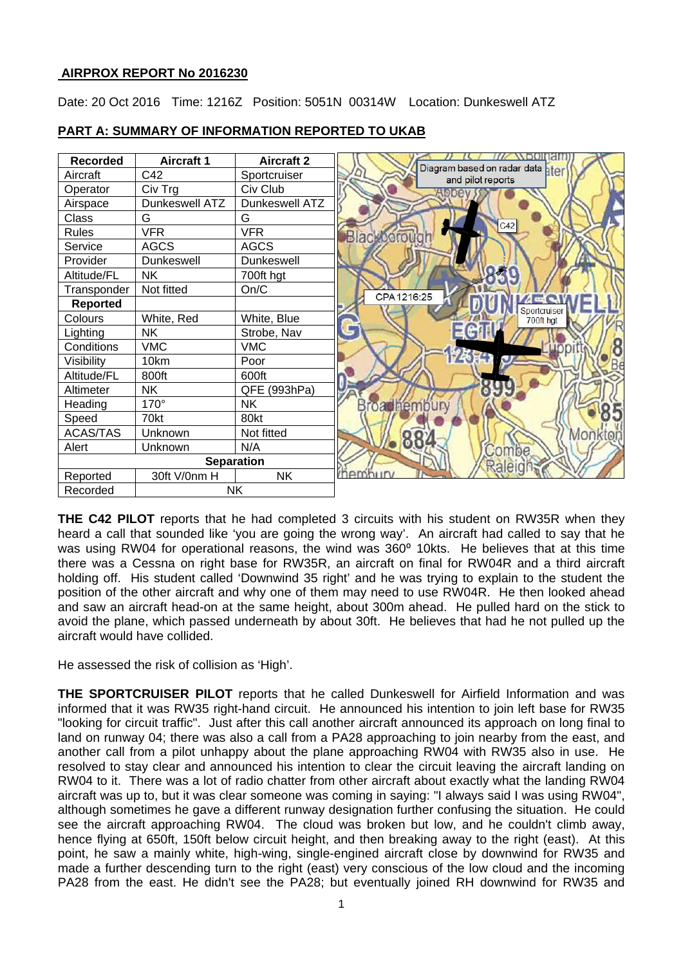# **AIRPROX REPORT No 2016230**

Date: 20 Oct 2016 Time: 1216Z Position: 5051N 00314W Location: Dunkeswell ATZ



## **PART A: SUMMARY OF INFORMATION REPORTED TO UKAB**

**THE C42 PILOT** reports that he had completed 3 circuits with his student on RW35R when they heard a call that sounded like 'you are going the wrong way'. An aircraft had called to say that he was using RW04 for operational reasons, the wind was 360° 10kts. He believes that at this time there was a Cessna on right base for RW35R, an aircraft on final for RW04R and a third aircraft holding off. His student called 'Downwind 35 right' and he was trying to explain to the student the position of the other aircraft and why one of them may need to use RW04R. He then looked ahead and saw an aircraft head-on at the same height, about 300m ahead. He pulled hard on the stick to avoid the plane, which passed underneath by about 30ft. He believes that had he not pulled up the aircraft would have collided.

He assessed the risk of collision as 'High'.

**THE SPORTCRUISER PILOT** reports that he called Dunkeswell for Airfield Information and was informed that it was RW35 right-hand circuit. He announced his intention to join left base for RW35 "looking for circuit traffic". Just after this call another aircraft announced its approach on long final to land on runway 04; there was also a call from a PA28 approaching to join nearby from the east, and another call from a pilot unhappy about the plane approaching RW04 with RW35 also in use. He resolved to stay clear and announced his intention to clear the circuit leaving the aircraft landing on RW04 to it. There was a lot of radio chatter from other aircraft about exactly what the landing RW04 aircraft was up to, but it was clear someone was coming in saying: "I always said I was using RW04", although sometimes he gave a different runway designation further confusing the situation. He could see the aircraft approaching RW04. The cloud was broken but low, and he couldn't climb away, hence flying at 650ft, 150ft below circuit height, and then breaking away to the right (east). At this point, he saw a mainly white, high-wing, single-engined aircraft close by downwind for RW35 and made a further descending turn to the right (east) very conscious of the low cloud and the incoming PA28 from the east. He didn't see the PA28; but eventually joined RH downwind for RW35 and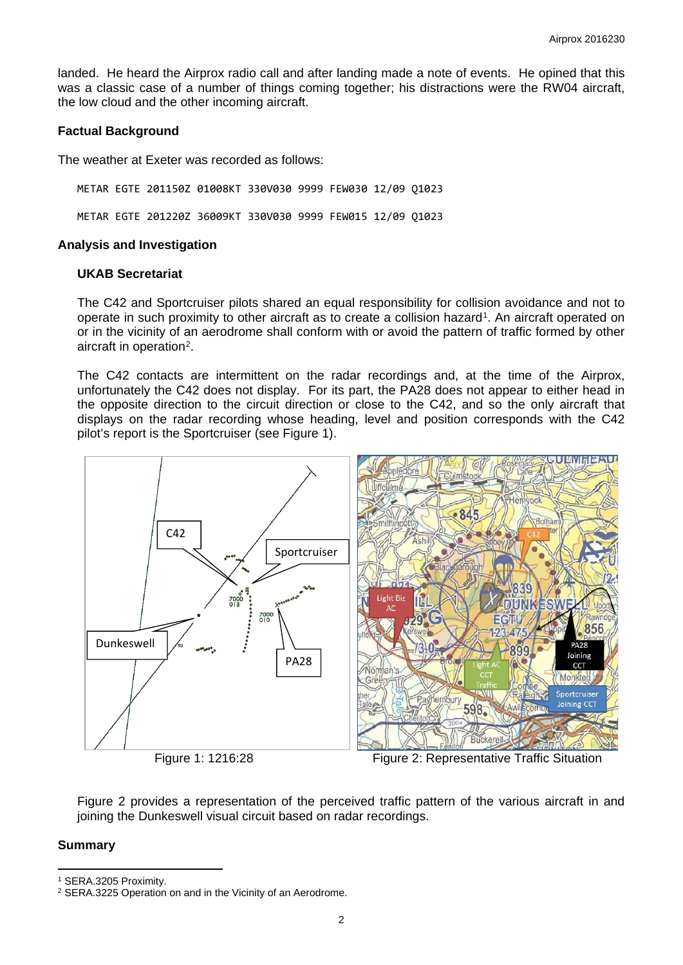landed. He heard the Airprox radio call and after landing made a note of events. He opined that this was a classic case of a number of things coming together; his distractions were the RW04 aircraft, the low cloud and the other incoming aircraft.

### **Factual Background**

The weather at Exeter was recorded as follows:

METAR EGTE 201150Z 01008KT 330V030 9999 FEW030 12/09 Q1023

METAR EGTE 201220Z 36009KT 330V030 9999 FEW015 12/09 Q1023

### **Analysis and Investigation**

### **UKAB Secretariat**

The C42 and Sportcruiser pilots shared an equal responsibility for collision avoidance and not to operate in such proximity to other aircraft as to create a collision hazard[1](#page-1-0). An aircraft operated on or in the vicinity of an aerodrome shall conform with or avoid the pattern of traffic formed by other aircraft in operation<sup>[2](#page-1-1)</sup>.

The C42 contacts are intermittent on the radar recordings and, at the time of the Airprox, unfortunately the C42 does not display. For its part, the PA28 does not appear to either head in the opposite direction to the circuit direction or close to the C42, and so the only aircraft that displays on the radar recording whose heading, level and position corresponds with the C42 pilot's report is the Sportcruiser (see Figure 1).



Figure 1: 1216:28 Figure 2: Representative Traffic Situation

Figure 2 provides a representation of the perceived traffic pattern of the various aircraft in and joining the Dunkeswell visual circuit based on radar recordings.

#### **Summary**

 $\overline{a}$ 

<span id="page-1-0"></span><sup>1</sup> SERA.3205 Proximity.

<span id="page-1-1"></span><sup>2</sup> SERA.3225 Operation on and in the Vicinity of an Aerodrome.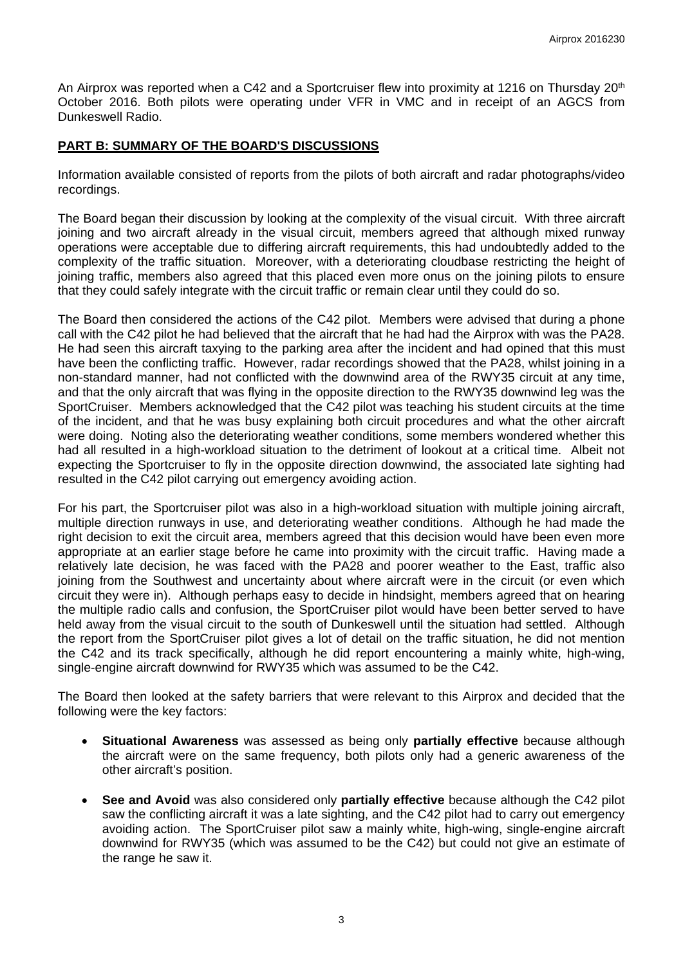An Airprox was reported when a C42 and a Sportcruiser flew into proximity at 1216 on Thursday 20<sup>th</sup> October 2016. Both pilots were operating under VFR in VMC and in receipt of an AGCS from Dunkeswell Radio.

# **PART B: SUMMARY OF THE BOARD'S DISCUSSIONS**

Information available consisted of reports from the pilots of both aircraft and radar photographs/video recordings.

The Board began their discussion by looking at the complexity of the visual circuit. With three aircraft joining and two aircraft already in the visual circuit, members agreed that although mixed runway operations were acceptable due to differing aircraft requirements, this had undoubtedly added to the complexity of the traffic situation. Moreover, with a deteriorating cloudbase restricting the height of joining traffic, members also agreed that this placed even more onus on the joining pilots to ensure that they could safely integrate with the circuit traffic or remain clear until they could do so.

The Board then considered the actions of the C42 pilot. Members were advised that during a phone call with the C42 pilot he had believed that the aircraft that he had had the Airprox with was the PA28. He had seen this aircraft taxying to the parking area after the incident and had opined that this must have been the conflicting traffic. However, radar recordings showed that the PA28, whilst joining in a non-standard manner, had not conflicted with the downwind area of the RWY35 circuit at any time, and that the only aircraft that was flying in the opposite direction to the RWY35 downwind leg was the SportCruiser. Members acknowledged that the C42 pilot was teaching his student circuits at the time of the incident, and that he was busy explaining both circuit procedures and what the other aircraft were doing. Noting also the deteriorating weather conditions, some members wondered whether this had all resulted in a high-workload situation to the detriment of lookout at a critical time. Albeit not expecting the Sportcruiser to fly in the opposite direction downwind, the associated late sighting had resulted in the C42 pilot carrying out emergency avoiding action.

For his part, the Sportcruiser pilot was also in a high-workload situation with multiple joining aircraft, multiple direction runways in use, and deteriorating weather conditions. Although he had made the right decision to exit the circuit area, members agreed that this decision would have been even more appropriate at an earlier stage before he came into proximity with the circuit traffic. Having made a relatively late decision, he was faced with the PA28 and poorer weather to the East, traffic also joining from the Southwest and uncertainty about where aircraft were in the circuit (or even which circuit they were in). Although perhaps easy to decide in hindsight, members agreed that on hearing the multiple radio calls and confusion, the SportCruiser pilot would have been better served to have held away from the visual circuit to the south of Dunkeswell until the situation had settled. Although the report from the SportCruiser pilot gives a lot of detail on the traffic situation, he did not mention the C42 and its track specifically, although he did report encountering a mainly white, high-wing, single-engine aircraft downwind for RWY35 which was assumed to be the C42.

The Board then looked at the safety barriers that were relevant to this Airprox and decided that the following were the key factors:

- **Situational Awareness** was assessed as being only **partially effective** because although the aircraft were on the same frequency, both pilots only had a generic awareness of the other aircraft's position.
- **See and Avoid** was also considered only **partially effective** because although the C42 pilot saw the conflicting aircraft it was a late sighting, and the C42 pilot had to carry out emergency avoiding action. The SportCruiser pilot saw a mainly white, high-wing, single-engine aircraft downwind for RWY35 (which was assumed to be the C42) but could not give an estimate of the range he saw it.